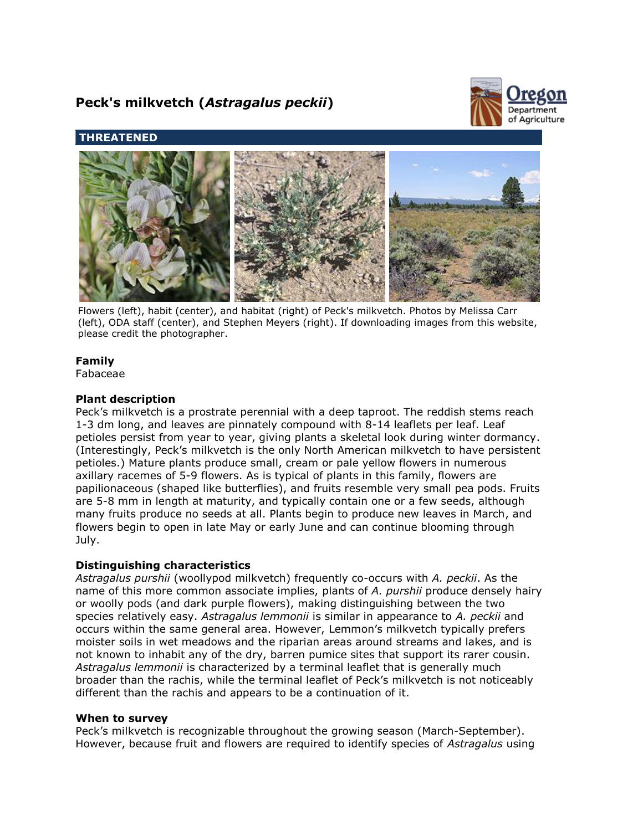# **Peck's milkvetch (***Astragalus peckii***)**



# **THREATENED**



Flowers (left), habit (center), and habitat (right) of Peck's milkvetch. Photos by Melissa Carr (left), ODA staff (center), and Stephen Meyers (right). If downloading images from this website, please credit the photographer.

# **Family**

Fabaceae

# **Plant description**

Peck's milkvetch is a prostrate perennial with a deep taproot. The reddish stems reach 1-3 dm long, and leaves are pinnately compound with 8-14 leaflets per leaf. Leaf petioles persist from year to year, giving plants a skeletal look during winter dormancy. (Interestingly, Peck's milkvetch is the only North American milkvetch to have persistent petioles.) Mature plants produce small, cream or pale yellow flowers in numerous axillary racemes of 5-9 flowers. As is typical of plants in this family, flowers are papilionaceous (shaped like butterflies), and fruits resemble very small pea pods. Fruits are 5-8 mm in length at maturity, and typically contain one or a few seeds, although many fruits produce no seeds at all. Plants begin to produce new leaves in March, and flowers begin to open in late May or early June and can continue blooming through July.

# **Distinguishing characteristics**

*Astragalus purshii* (woollypod milkvetch) frequently co-occurs with *A. peckii*. As the name of this more common associate implies, plants of *A. purshii* produce densely hairy or woolly pods (and dark purple flowers), making distinguishing between the two species relatively easy. *Astragalus lemmonii* is similar in appearance to *A. peckii* and occurs within the same general area. However, Lemmon's milkvetch typically prefers moister soils in wet meadows and the riparian areas around streams and lakes, and is not known to inhabit any of the dry, barren pumice sites that support its rarer cousin. *Astragalus lemmonii* is characterized by a terminal leaflet that is generally much broader than the rachis, while the terminal leaflet of Peck's milkvetch is not noticeably different than the rachis and appears to be a continuation of it.

# **When to survey**

Peck's milkvetch is recognizable throughout the growing season (March-September). However, because fruit and flowers are required to identify species of *Astragalus* using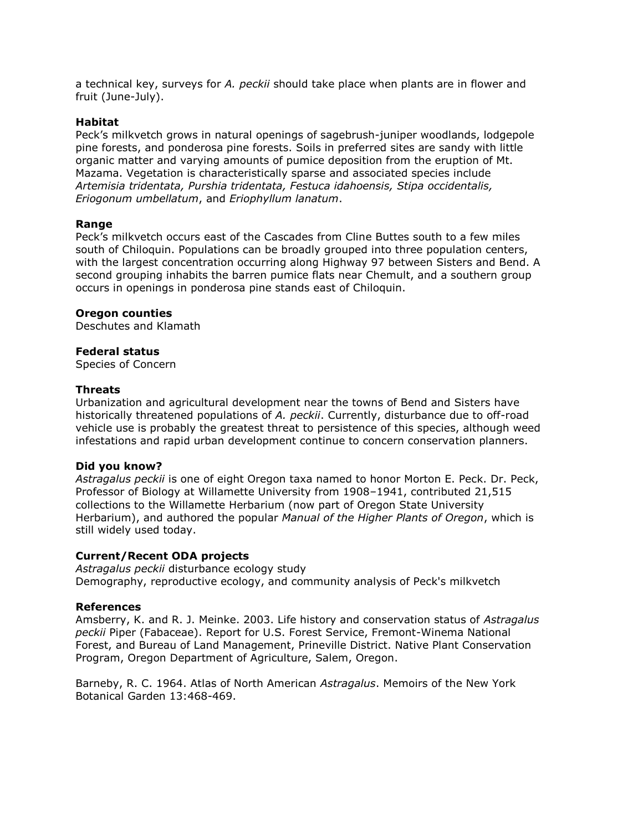a technical key, surveys for *A. peckii* should take place when plants are in flower and fruit (June-July).

#### **Habitat**

Peck's milkvetch grows in natural openings of sagebrush-juniper woodlands, lodgepole pine forests, and ponderosa pine forests. Soils in preferred sites are sandy with little organic matter and varying amounts of pumice deposition from the eruption of Mt. Mazama. Vegetation is characteristically sparse and associated species include *Artemisia tridentata, Purshia tridentata, Festuca idahoensis, Stipa occidentalis, Eriogonum umbellatum*, and *Eriophyllum lanatum*.

#### **Range**

Peck's milkvetch occurs east of the Cascades from Cline Buttes south to a few miles south of Chiloquin. Populations can be broadly grouped into three population centers, with the largest concentration occurring along Highway 97 between Sisters and Bend. A second grouping inhabits the barren pumice flats near Chemult, and a southern group occurs in openings in ponderosa pine stands east of Chiloquin.

#### **Oregon counties**

Deschutes and Klamath

#### **Federal status**

Species of Concern

#### **Threats**

Urbanization and agricultural development near the towns of Bend and Sisters have historically threatened populations of *A. peckii*. Currently, disturbance due to off-road vehicle use is probably the greatest threat to persistence of this species, although weed infestations and rapid urban development continue to concern conservation planners.

#### **Did you know?**

*Astragalus peckii* is one of eight Oregon taxa named to honor Morton E. Peck. Dr. Peck, Professor of Biology at Willamette University from 1908–1941, contributed 21,515 collections to the Willamette Herbarium (now part of Oregon State University Herbarium), and authored the popular *Manual of the Higher Plants of Oregon*, which is still widely used today.

#### **Current/Recent ODA projects**

*Astragalus peckii* disturbance ecology study Demography, reproductive ecology, and community analysis of Peck's milkvetch

#### **References**

Amsberry, K. and R. J. Meinke. 2003. Life history and conservation status of *Astragalus peckii* Piper (Fabaceae). Report for U.S. Forest Service, Fremont-Winema National Forest, and Bureau of Land Management, Prineville District. Native Plant Conservation Program, Oregon Department of Agriculture, Salem, Oregon.

Barneby, R. C. 1964. Atlas of North American *Astragalus*. Memoirs of the New York Botanical Garden 13:468-469.